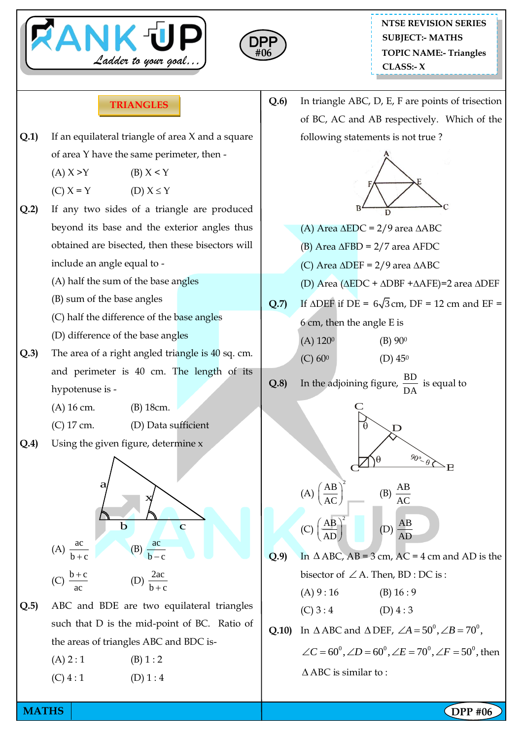



**Q.6)** In triangle ABC, D, E, F are points of trisection

## **TRIANGLES**

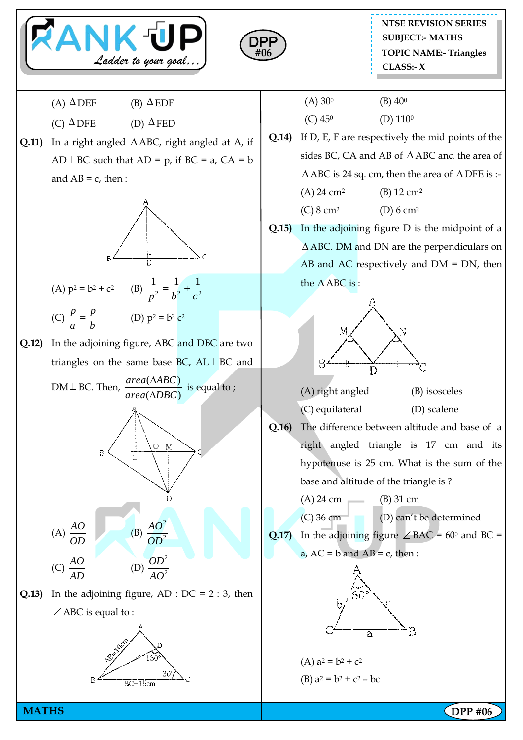



**NTSE REVISION SERIES TOPIC NAME:- Triangles CLASS:- X SUBJECT:- MATHS**

- $(A) \triangle DEF$  (B)  $\Delta$  EDF
- $(C) \triangle DFE$  (D)  $\Delta$ FED
- **Q.11**) In a right angled  $\triangle$  ABC, right angled at A, if  $AD \perp BC$  such that  $AD = p$ , if  $BC = a$ ,  $CA = b$ and  $AB = c$ , then :



**Q.12)** In the adjoining figure, ABC and DBC are two triangles on the same base BC,  $AL \perp BC$  and



**Q.13)** In the adjoining figure, AD :  $DC = 2 : 3$ , then  $\angle$  ABC is equal to :



- $(A) 30^0$  (B)  $40^0$  $(C)$  45<sup>0</sup> (D) 110<sup>0</sup>
- **Q.14)** If D, E, F are respectively the mid points of the sides BC, CA and AB of  $\triangle$  ABC and the area of  $\triangle$  ABC is 24 sq. cm, then the area of  $\triangle$  DFE is :-(A)  $24 \text{ cm}^2$  (B)  $12 \text{ cm}^2$ (C)  $8 \text{ cm}^2$  (D)  $6 \text{ cm}^2$
- **Q.15)** In the adjoining figure D is the midpoint of a ABC. DM and DN are the perpendiculars on AB and AC respectively and  $DM = DN$ , then the  $\triangle$ ABC is:



- (A) right angled (B) isosceles (C) equilateral (D) scalene
- **Q.16)** The difference between altitude and base of a right angled triangle is 17 cm and its hypotenuse is 25 cm. What is the sum of the base and altitude of the triangle is ?
	- (A)  $24 \text{ cm}$  (B)  $31 \text{ cm}$

(C) 36 cm (D) can't be determined

**Q.17)** In the adjoining figure  $\angle BAC = 60^{\circ}$  and BC = a,  $AC = b$  and  $AB = c$ , then :



(A)  $a^2 = b^2 + c^2$ (B)  $a^2 = b^2 + c^2 - bc$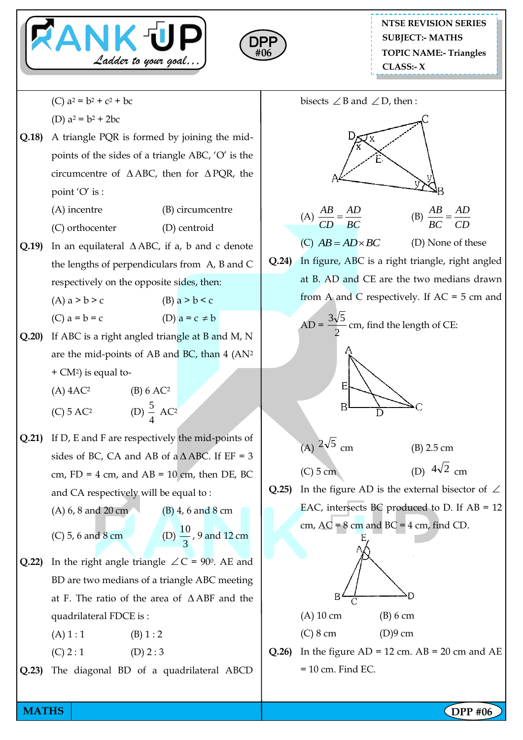



(C)  $a^2 = b^2 + c^2 + bc$ 

(D) 
$$
a^2 = b^2 + 2bc
$$

- **Q.18)** A triangle PQR is formed by joining the midpoints of the sides of a triangle ABC, 'O' is the circumcentre of  $\triangle$ ABC, then for  $\triangle$ PQR, the point 'O' is :
	- (A) incentre (B) circumcentre
	- (C) orthocenter (D) centroid
- **Q.19**) In an equilateral  $\triangle$  ABC, if a, b and c denote the lengths of perpendiculars from A, B and C respectively on the opposite sides, then:

(A)  $a > b > c$  (B)  $a > b < c$ 

- $(C)$  a = b = c
- **Q.20)** If ABC is a right angled triangle at B and M, N are the mid-points of AB and BC, than 4 (AN<sup>2</sup> + CM2) is equal to-

5

- $(A)$  4AC<sup>2</sup> (B) 6 AC<sup>2</sup>
- $(C)$  5 AC<sup>2</sup>
- 4  $AC<sup>2</sup>$ **Q.21)** If D, E and F are respectively the mid-points of
- sides of BC, CA and AB of  $a \triangle ABC$ . If EF = 3 cm,  $FD = 4$  cm, and  $AB = 10$  cm, then DE, BC and CA respectively will be equal to :
	- (A) 6, 8 and 20 cm (B) 4, 6 and 8 cm

 $(C)$  5, 6 and 8 cm

```
3
\frac{10}{2}, 9 and 12 cm
```
 $\neq$  b

- **Q.22**) In the right angle triangle  $\angle C = 90^{\circ}$ . AE and BD are two medians of a triangle ABC meeting at F. The ratio of the area of ABF and the quadrilateral FDCE is :
	- $(A) 1 : 1$  (B) 1 : 2
	- $(C) 2 : 1$   $(D) 2 : 3$
- **Q.23)** The diagonal BD of a quadrilateral ABCD



(A) 10 cm (B) 6 cm

(C) 8 cm (D)9 cm

 $= 10$  cm. Find EC.

**Q.26**) In the figure  $AD = 12$  cm.  $AB = 20$  cm and  $AE$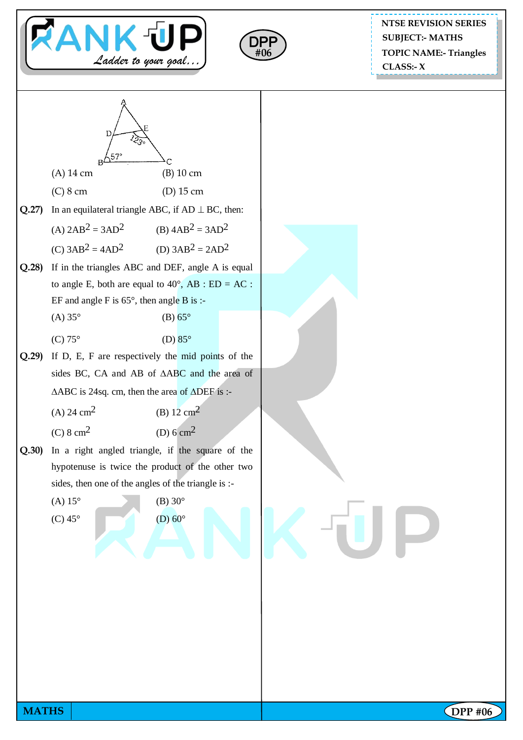



**NTSE REVISION SERIES TOPIC NAME:- Triangles CLASS:- X SUBJECT:- MATHS**